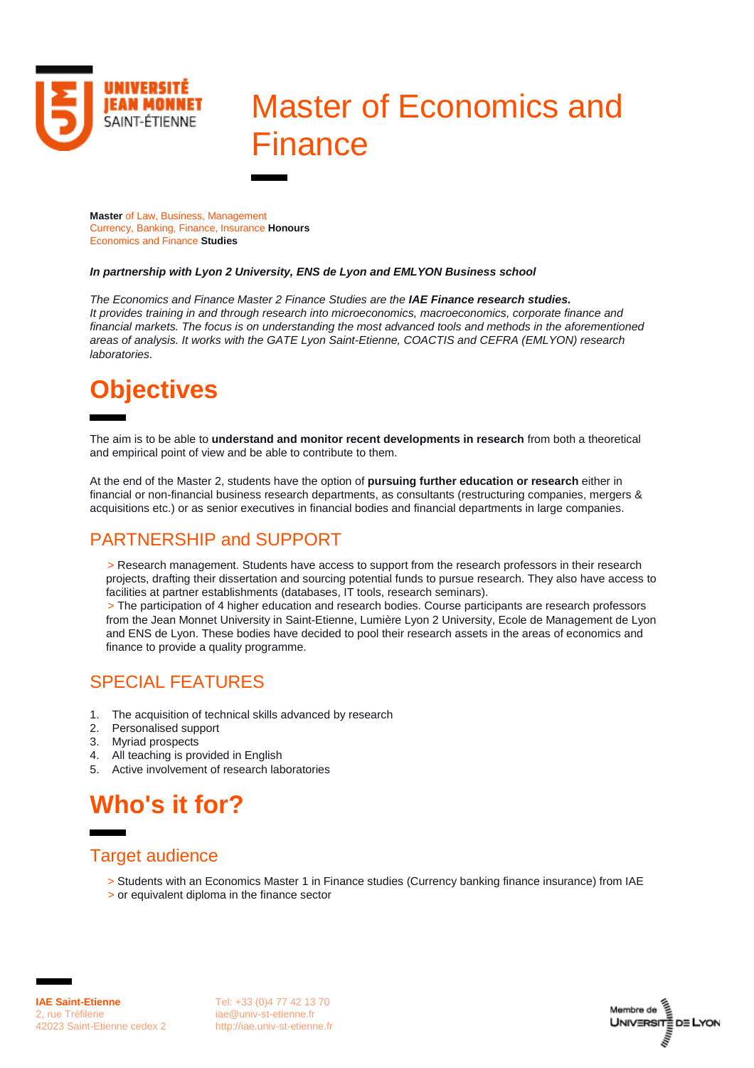

# Master of Economics and **Finance**

**Master** of Law, Business, Management Currency, Banking, Finance, Insurance **Honours** Economics and Finance **Studies**

#### *In partnership with Lyon 2 University, ENS de Lyon and EMLYON Business school*

*The Economics and Finance Master 2 Finance Studies are the IAE Finance research studies. It provides training in and through research into microeconomics, macroeconomics, corporate finance and financial markets. The focus is on understanding the most advanced tools and methods in the aforementioned areas of analysis. It works with the GATE Lyon Saint-Etienne, COACTIS and CEFRA (EMLYON) research laboratories.*

## **Objectives**

The aim is to be able to **understand and monitor recent developments in research** from both a theoretical and empirical point of view and be able to contribute to them.

At the end of the Master 2, students have the option of **pursuing further education or research** either in financial or non-financial business research departments, as consultants (restructuring companies, mergers & acquisitions etc.) or as senior executives in financial bodies and financial departments in large companies.

### PARTNERSHIP and SUPPORT

> Research management. Students have access to support from the research professors in their research projects, drafting their dissertation and sourcing potential funds to pursue research. They also have access to facilities at partner establishments (databases, IT tools, research seminars).

> The participation of 4 higher education and research bodies. Course participants are research professors from the Jean Monnet University in Saint-Etienne, Lumière Lyon 2 University, Ecole de Management de Lyon and ENS de Lyon. These bodies have decided to pool their research assets in the areas of economics and finance to provide a quality programme.

#### SPECIAL FEATURES

- 1. The acquisition of technical skills advanced by research
- 2. Personalised support
- 3. Myriad prospects
- 4. All teaching is provided in English
- 5. Active involvement of research laboratories

### **Who's it for?**

#### Target audience

- > Students with an Economics Master 1 in Finance studies (Currency banking finance insurance) from IAE
- > or equivalent diploma in the finance sector